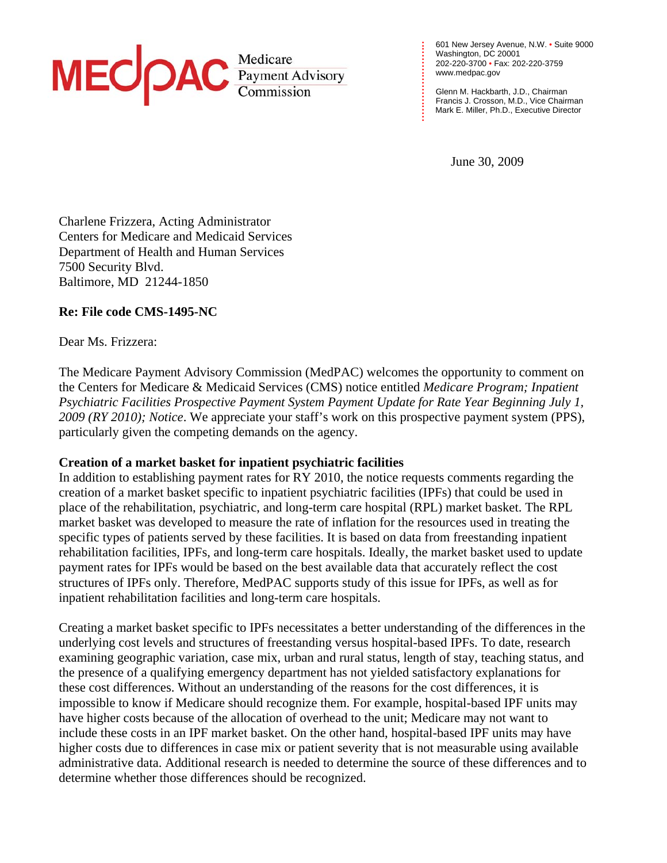

601 New Jersey Avenue, N.W. • Suite 9000 Washington, DC 20001 202-220-3700 • Fax: 202-220-3759 [www.medpac.gov](http://www.medpac.gov)

Glenn M. Hackbarth, J.D., Chairman Francis J. Crosson, M.D., Vice Chairman Mark E. Miller, Ph.D., Executive Director

June 30, 2009

**. . . . . . . . . . . . . . . . . . . . . . . .**

Charlene Frizzera, Acting Administrator Centers for Medicare and Medicaid Services Department of Health and Human Services 7500 Security Blvd. Baltimore, MD 21244-1850

## **Re: File code CMS-1495-NC**

Dear Ms. Frizzera:

The Medicare Payment Advisory Commission (MedPAC) welcomes the opportunity to comment on the Centers for Medicare & Medicaid Services (CMS) notice entitled *Medicare Program; Inpatient Psychiatric Facilities Prospective Payment System Payment Update for Rate Year Beginning July 1, 2009 (RY 2010); Notice*. We appreciate your staff's work on this prospective payment system (PPS), particularly given the competing demands on the agency.

## **Creation of a market basket for inpatient psychiatric facilities**

In addition to establishing payment rates for  $RY$  2010, the notice requests comments regarding the creation of a market basket specific to inpatient psychiatric facilities (IPFs) that could be used in place of the rehabilitation, psychiatric, and long-term care hospital (RPL) market basket. The RPL market basket was developed to measure the rate of inflation for the resources used in treating the specific types of patients served by these facilities. It is based on data from freestanding inpatient rehabilitation facilities, IPFs, and long-term care hospitals. Ideally, the market basket used to update payment rates for IPFs would be based on the best available data that accurately reflect the cost structures of IPFs only. Therefore, MedPAC supports study of this issue for IPFs, as well as for inpatient rehabilitation facilities and long-term care hospitals.

Creating a market basket specific to IPFs necessitates a better understanding of the differences in the underlying cost levels and structures of freestanding versus hospital-based IPFs. To date, research examining geographic variation, case mix, urban and rural status, length of stay, teaching status, and the presence of a qualifying emergency department has not yielded satisfactory explanations for these cost differences. Without an understanding of the reasons for the cost differences, it is impossible to know if Medicare should recognize them. For example, hospital-based IPF units may have higher costs because of the allocation of overhead to the unit; Medicare may not want to include these costs in an IPF market basket. On the other hand, hospital-based IPF units may have higher costs due to differences in case mix or patient severity that is not measurable using available administrative data. Additional research is needed to determine the source of these differences and to determine whether those differences should be recognized.